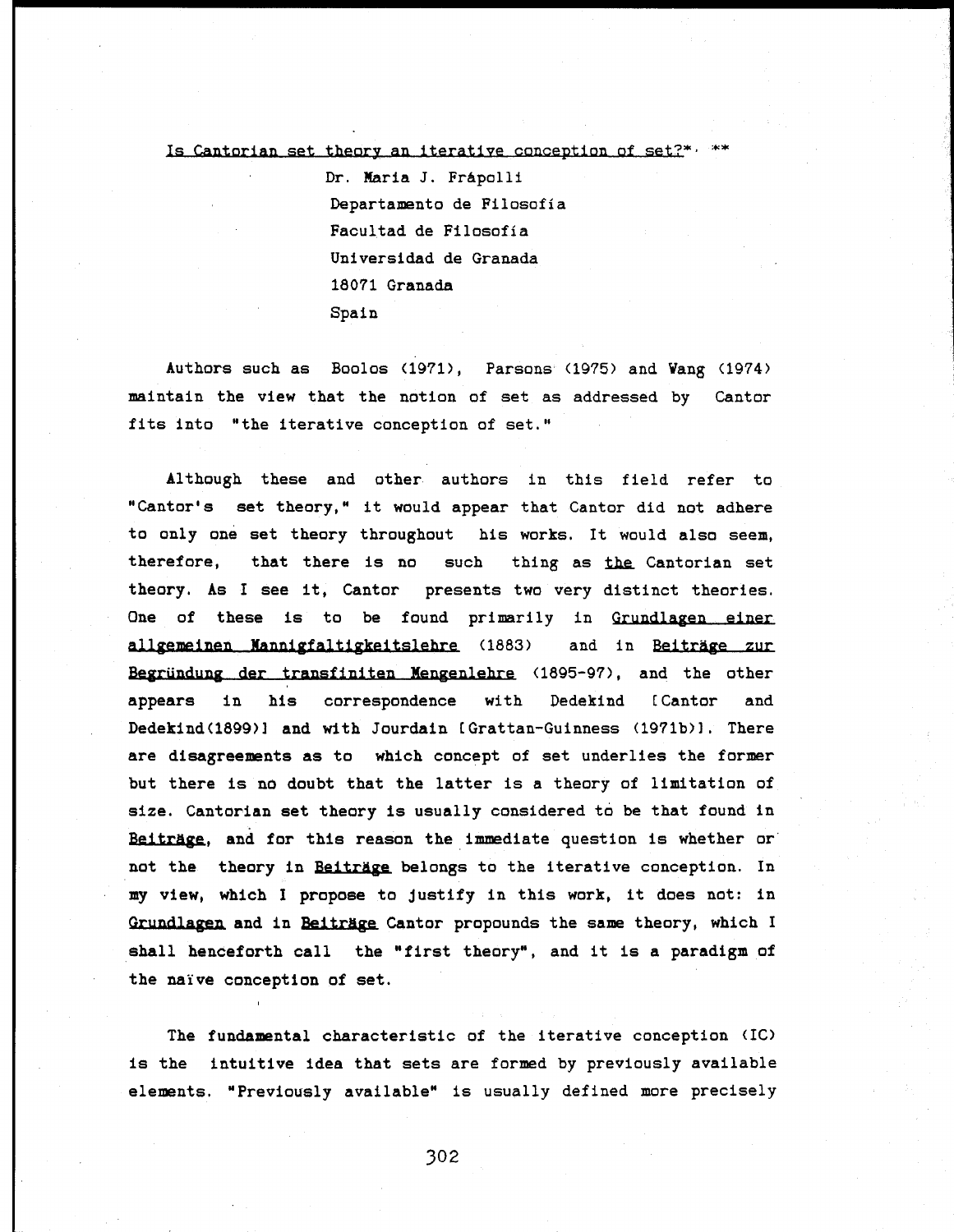## Is Cantorian set theory an iterative conception of set?\* $·$  \*\*

Dr. Maria J. Frápolli Departamento de Filosofía Facultad de Filosofía Universidad de Granada 18071 Granada Spain

Authors such as Boolos (1971), Parsons (1975) and Vang (1974) maintain the view that the nation of set as addressed by Cantor fits into "the iterative conception of set."

Although these and other authors in this field refer to "Cantor's set theory," it would appear that Cantor did not adhere to only one set theory throughout his works. It would also seem, therefore, that there is no such thing as the Cantorian set theory. As I see it, Cantor presents two very distinct theories. One of these is to be found primarily in Grundlagen einer allgemeinen Mannigfaltigkeitslehre (1883) and in Beiträge zur Begründung der transfiniten Mengenlehre (1895-97), and the other appears in his correspondence with Dedekind [Cantor and Dedekind(1899)] and with Jourdain [Grattan-Guinness (1971b)]. There are disagreements as to which concept of set underlies the former but there is no doubt that the latter is a theory of limitation of size. Cantorian set theory is usually considered to be that found in Beitrage, **and** for this reason the immediate question is whether or not the theory in Beitrage belongs to the iterative conception. In my view, which I propose to Justify in this work, it does not: in Grundlagen **and** in Beitrage Cantor propounds the same theory, which I shall henceforth call the "first theory", and it is a paradigm of the naïve conception of set.

The fundamental characteristic of the iterative conception (1С) is the intuitive idea that sets are formed by previously available elements. "Previously available" is usually defined more precisely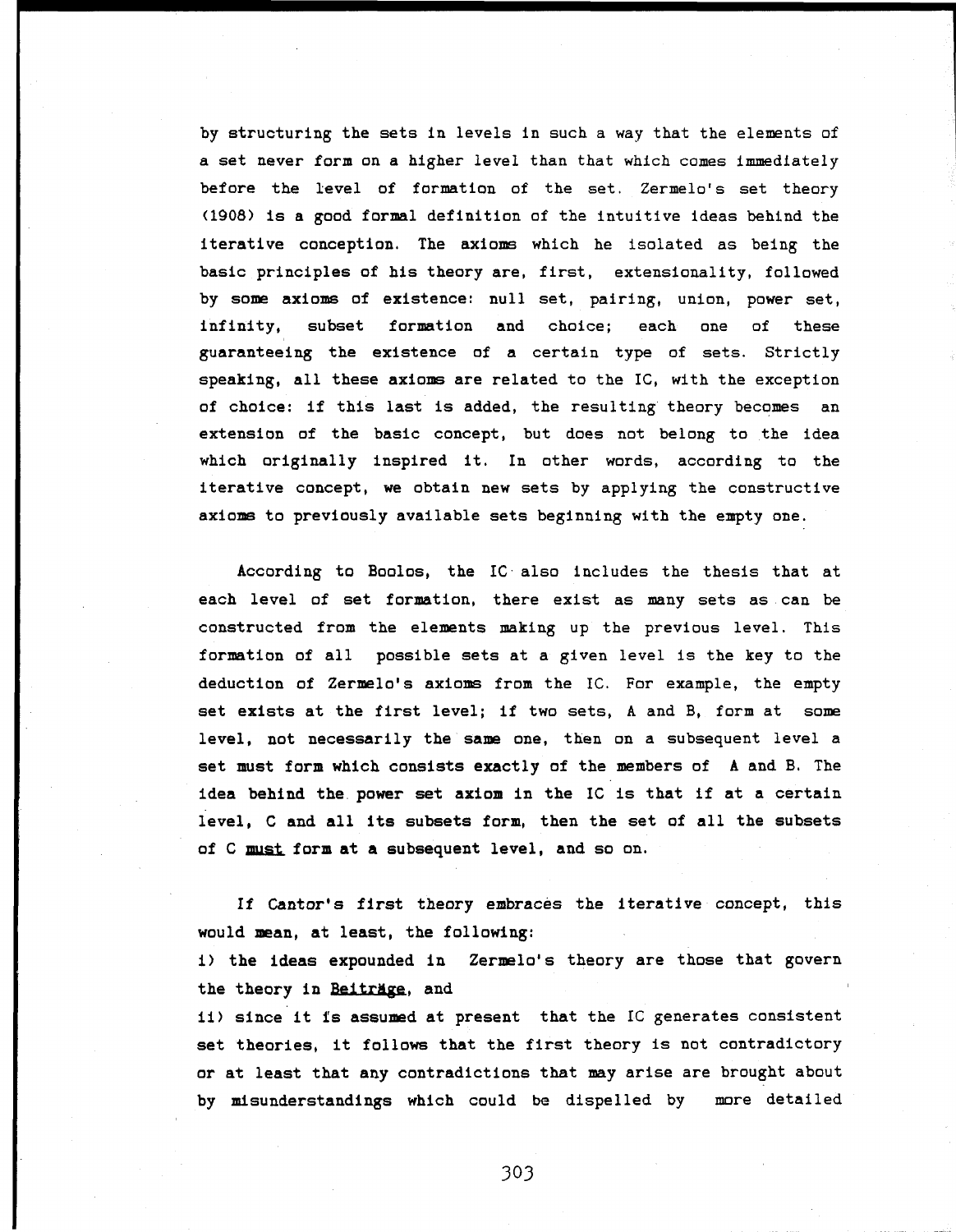by structuring the sets in levels in such a way that the elements of a set never form on a higher level than that which comes immediately before the level of formation of the set. Zermelo's set theory (1908) is a good formal definition of the intuitive ideas behind the iterative conception. The axioms which he isolated as being the basic principles of his theory are, first, extensionality, followed by some axioms of existence: null set, pairing, union, power set, infinity, subset formation and choice; each one of these guaranteeing the existence of a certain type of sets. Strictly speaking, all these axioms are related to the 1С, with the exception of choice: if this last is added, the resulting theory becomes an extension of the basic concept, but does not belong to the idea which originally inspired it. In other words, according to the iterative concept, we obtain new sets by applying the constructive axioms to previously available sets beginning with the empty one.

According to Boolos, the IC also includes the thesis that at each level of set formation, there exist as many sets as can be constructed from the elements making up the previous level. This formation of all possible sets at a given level is the key to the deduction of Zermelo's axioms from the 1С. For example, the empty set exists at the first level; if two sets, A and B, form at some level, not necessarily the same one, then on a subsequent level a set must form which consists exactly of the members of A and B. The idea behind the power set axiom in the IC is that if at a certain level, С and all its subsets form, then the set of all the subsets of С must form at a subsequent level, and so on.

If Cantor's first theory embraces the iterative concept, this would mean, at least, the following:

i) the ideas expounded in Zermelo's theory are those that govern the theory in Beitrage, and

ii) since it is assumed at present that the IC generates consistent set theories, it follows that the first theory is not contradictory or at least that any contradictions that may arise are brought about by misunderstandings which could be dispelled by more detailed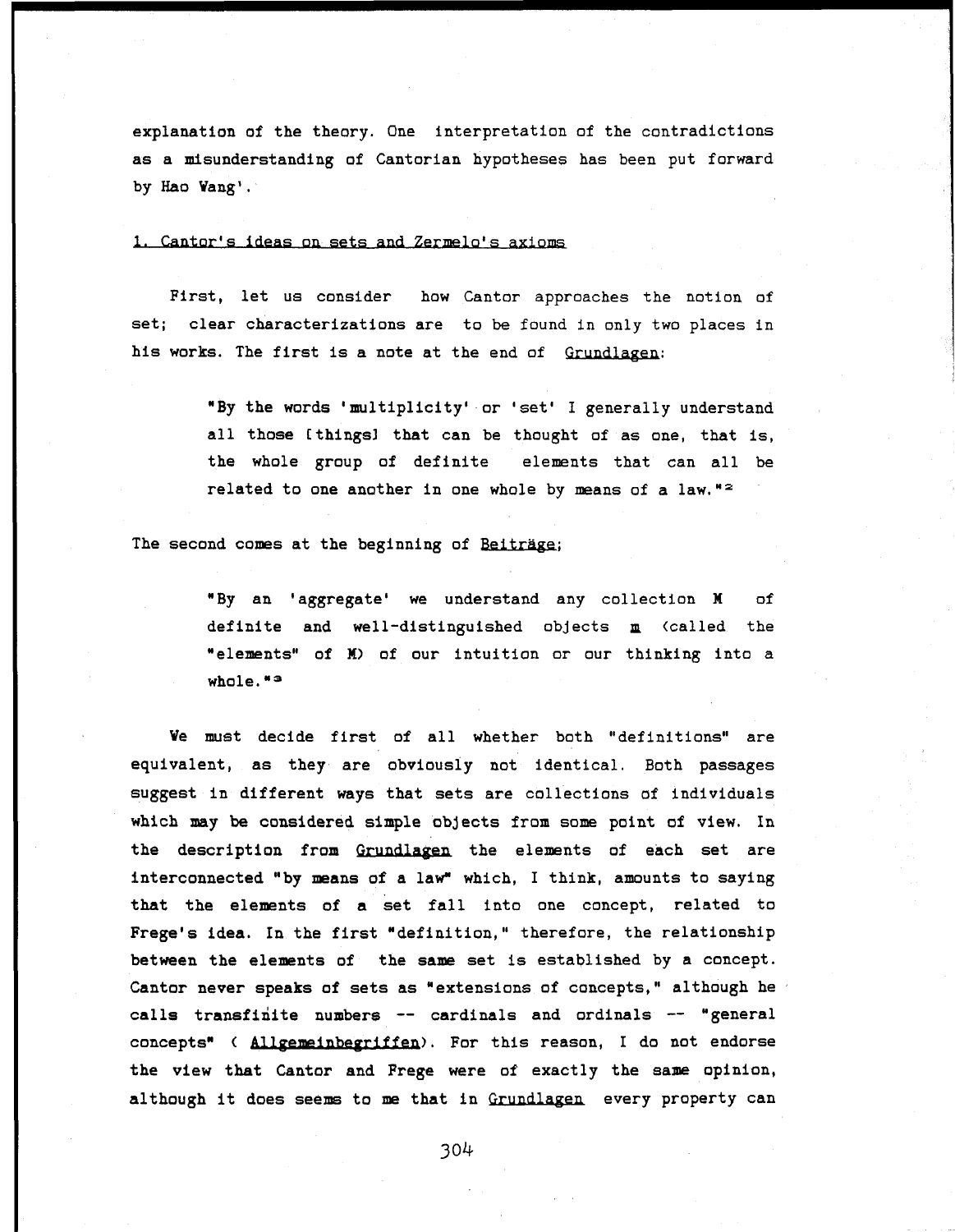explanation of the theory. One interpretation of the contradictions as a misunderstanding of Cantorian hypotheses has been put forward by Hao Wang'.

#### 1. Cantor's ideas on sets and Zermelo's axioms

First, let us consider how Cantor approaches the notion of set; clear characterizations are to be found in only two places in his works. The first is a note at the end of Grundlagen:

> "By the words 'multiplicity' or 'set' I generally understand all those [things] that can be thought of as one, that is, the whole group of definite elements that can all be related to one another in one whole by means of a law."<sup>2</sup>

The second comes at the beginning of Beiträge;

"By an 'aggregate' we understand any collection M of definite and well-distinguished objects **m** (called the elements" of M) of our intuition or our thinking into a H whole."<sup>3</sup>

Ve must decide first of all whether both "definitions" are equivalent, as they are obviously not identical. Both passages suggest in different ways that sets are collections of individuals which may be considered simple objects from some point of view. In the description from Grundlagen the elements of each set are interconnected "by means of a law" which, I think, amounts to saying that the elements of a set fall into one concept, related to Frege's idea. In the first "definition," therefore, the relationship between the elements of the same set is established by a concept. Cantor never speaks of sets as "extensions of concepts," although he calls transfinite numbers — cardinals and ordinals — "general concepts" < Allgemeinbegriffen). For this reason, I do not endorse the view that Cantor and Frege were of exactly the same opinion, although it does seems to me that in Grundlagen every property can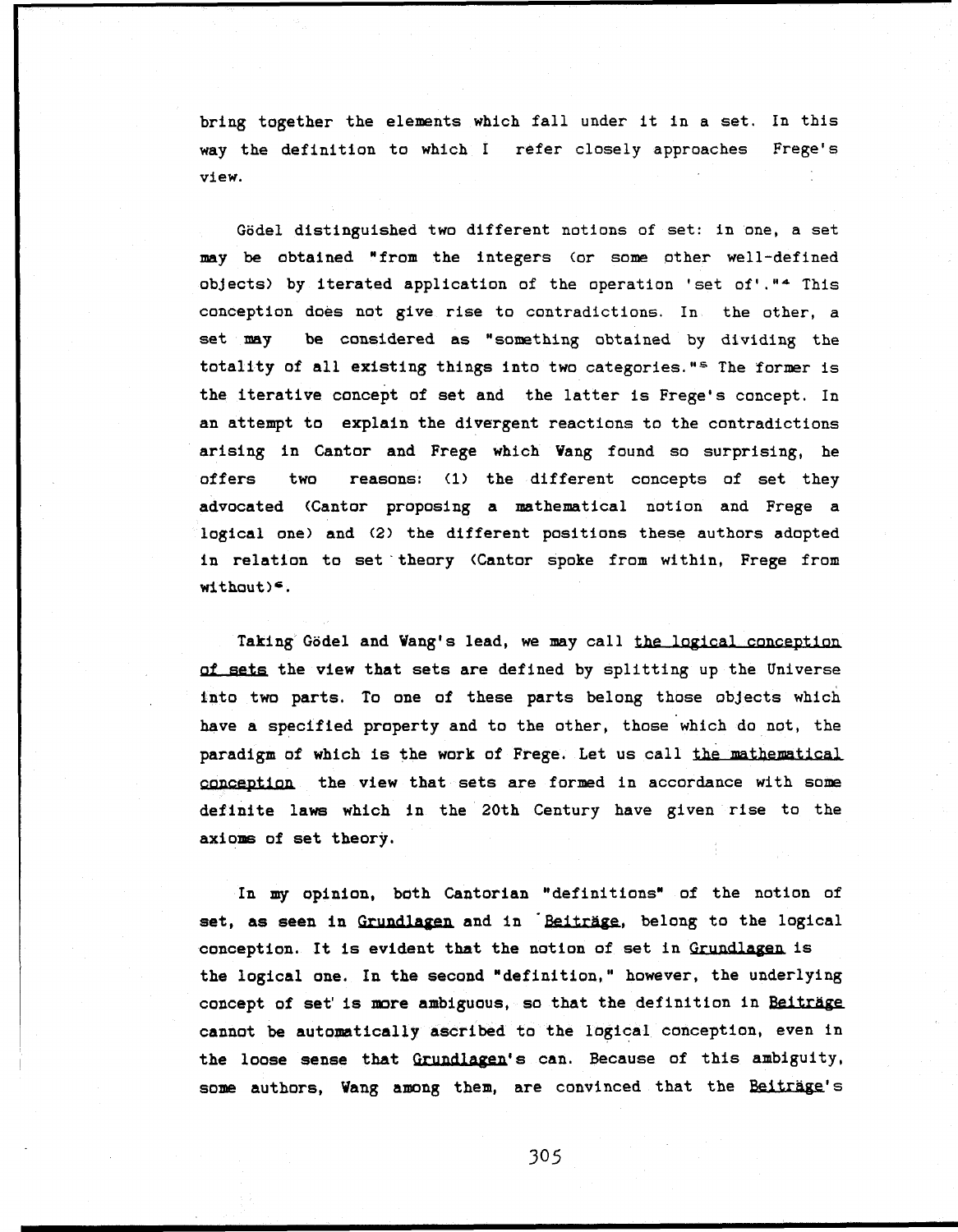bring together the elements which fall under it in a set. In this way the definition to which I refer closely approaches Frege's  $\mathsf{view}.$ 

Gödel distinguished two different notions of set: in one, a set may be obtained "from the integers (or some other well-defined objects) by iterated application of the operation 'set of'."<sup>4</sup> This conception does not give rise to contradictions. In the other, a set may be considered as "something obtained by dividing the totality of all existing things into two categories."<sup>s</sup> The former is the iterative concept of set and the latter is Frege's concept. In an attempt to explain the divergent reactions to the contradictions arising in Cantor and Frege which Vang found so surprising, he offers two reasons: (1) the different concepts of set they advocated (Cantor proposing a mathematical notion and Frege a logical one) and (2) the different positions these authors adopted in relation to set theory (Cantor spoke from within, Frege from  $with out)=$ .

Taking Godel and Wang's lead, we may call the logical conception of sets the view that sets are defined by splitting up the Universe into two parts. To one of these parts belong those objects which have a specified property and to the other, those which do not, the paradigm of which is the work of Frege. Let us call the mathematical conception the view that sets are formed in accordance with some definite laws which in the 20th Century have given rise to the axioms of set theory.

In my opinion, both Cantorian "definitions" of the notion of set, as seen in Grundlagen and in Beiträge, belong to the logical conception. It is evident that the notion of set in Grundlagen is the logical one. In the second "definition," however, the underlying concept of set' is more ambiguous, so that the definition in Beiträge cannot be automatically ascribed to the logical conception, even in the loose sense that Grundlagen's can. Because of this ambiguity, some authors, Wang among them, are convinced that the Beiträge's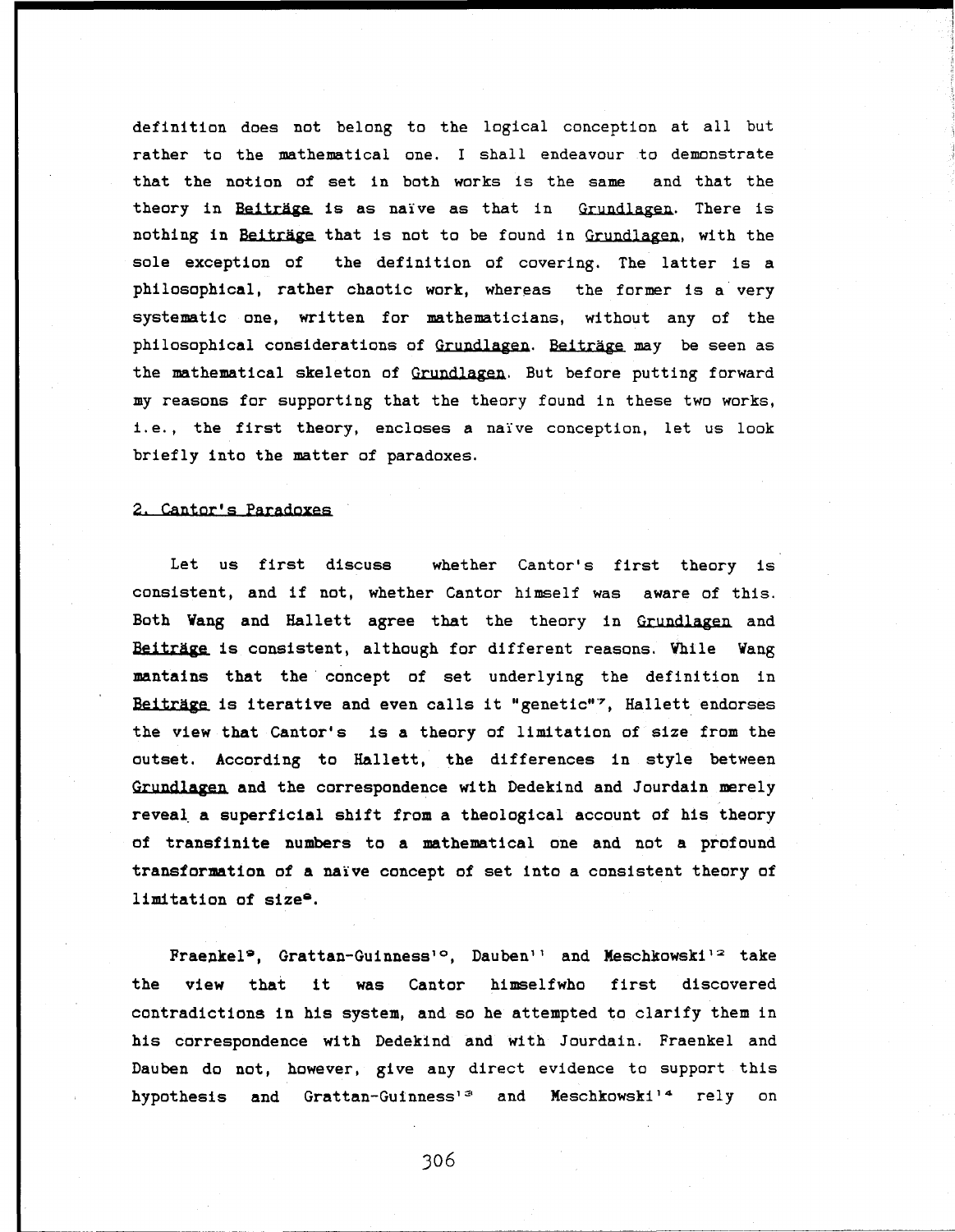definition does not belong to the logical conception at all but rather to the mathematical one. I shall endeavour to demonstrate that the notion of set in both works is the same and that the theory in Beiträge is as naïve as that in Grundlagen. There is nothing in Beiträge that is not to be found in Grundlagen, with the sole exception of the definition of covering. The latter is a philosophical, rather chaotic work, whereas the former is a very systematic one, written for mathematicians, without any of the philosophical considerations of Grundlagen. Beiträge may be seen as the mathematical skeleton of Grundlagen. But before putting forward my reasons for supporting that the theory found in these two works, i.e., the first theory, encloses a naïve conception, let us look briefly into the matter of paradoxes.

#### 2. Cantor's Paradoxes

Let us first discuss whether Cantor's first theory is consistent, and if not, whether Cantor himself was aware of this. Both Wang and Hallett agree that the theory in Grundlagen and Beiträge is consistent, although for different reasons. Vhile Vang **mantains that** the concept of set underlying the definition in Beiträge is iterative and even calls it "genetic"<sup>7</sup>, Hallett endorses the view that Cantor's is **a** theory of limitation of size from the outset. According to Hallett, the differences in style between Grundlagen **and** the correspondence with Dedekind and Jourdain merely **reveal a superficial shift from a** theological account of his theory of **transfinite numbers to a mathematical** one and not **a profound transformation** of **a** naïve concept of set into a consistent theory of **limitation of size\*.**

Fraenkel<sup>9</sup>, Grattan-Guinness<sup>10</sup>, Dauben<sup>11</sup> and Meschkowski<sup>12</sup> take **the view that** it **was** Cantor himselfwho first discovered contradictions in his system, and so he attempted to clarify them in his correspondence with Dedekind and with Jourdain. Fraenkel and Dauben do not, however, give any direct evidence to support this hypothesis and Grattan-Guinness'<sup>3</sup> and Meschkowski'<sup>4</sup> rely on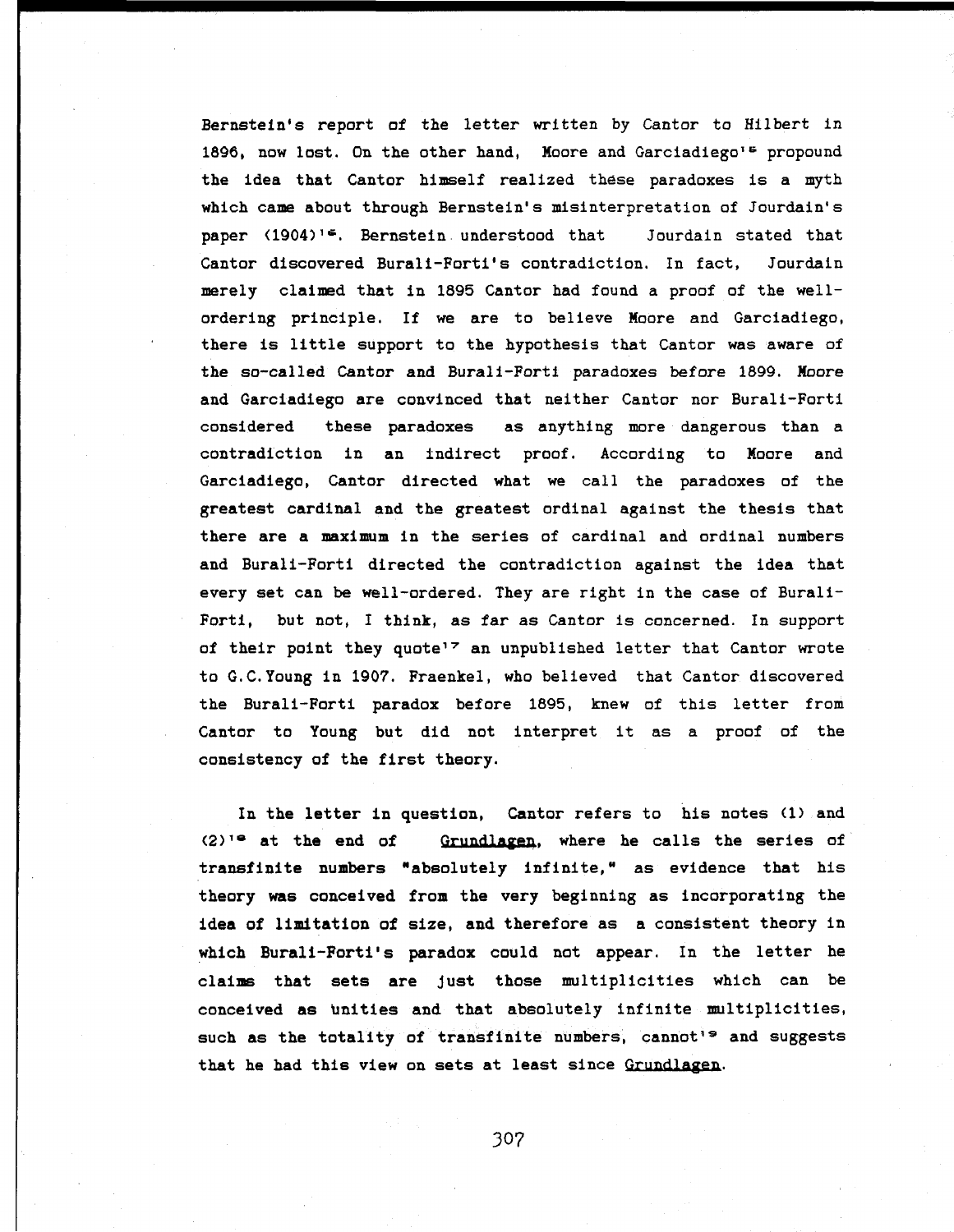Bernstein's report of the letter written by Cantor to Hilbert in 1896, now lost. On the other hand, Moore and Garciadiego's propound the idea that Cantor himself realized these paradoxes is a myth which came about through Bernstein's misinterpretation of Jourdain's paper (1904)<sup>1</sup>\*. Bernstein understood that 5 Jourdain stated that Cantor discovered Burali-Forti's contradiction. In fact, Jourdain merely claimed that in 1895 Cantor had found a proof of the well ordering principle. If we are to believe Moore and Garciadiego, there is little support to the hypothesis that Cantor was aware of the so-called Cantor and Burali-Forti paradoxes before 1899. Moore and Garciadiego are convinced that neither Cantor nor Burali-Forti considered these paradoxes as anything more dangerous than a contradiction in an indirect proof. According to Moore and Garciadiego, Cantor directed what we call the paradoxes of the greatest cardinal and the greatest ordinal against the thesis that there are a maximum in the series of cardinal and ordinal numbers and Burali-Forti directed the contradiction against the idea that every set can be well-ordered. They are right in the case of Burali Forti, but not, I think, as far as Cantor is concerned. In support of their point they quote<sup>17</sup> an unpublished letter that Cantor wrote to G.C.Young in 1907. Fraenkel, who believed that Cantor discovered the Burali-Forti paradox before 1895, knew of this letter from Cantor to Young but did not interpret it as a proof of the consistency of the first theory.

In the letter in question, Cantor refers to his notes (1) and  $(2)$ <sup>1</sup> at the end of Grundlagen, where he calls the series of transfinite numbers "absolutely infinite," as evidence that his theory was conceived from the very beginning as incorporating the idea of limitation of size, and therefore as a consistent theory in which Burali-Forti's paradox could not appear. In the letter he claims that sets are Just those multiplicities which can be conceived as unities and that absolutely infinite multiplicities, such as the totality of transfinite numbers, cannot's and suggests that he had this view on sets at least since Grundlagen.

30?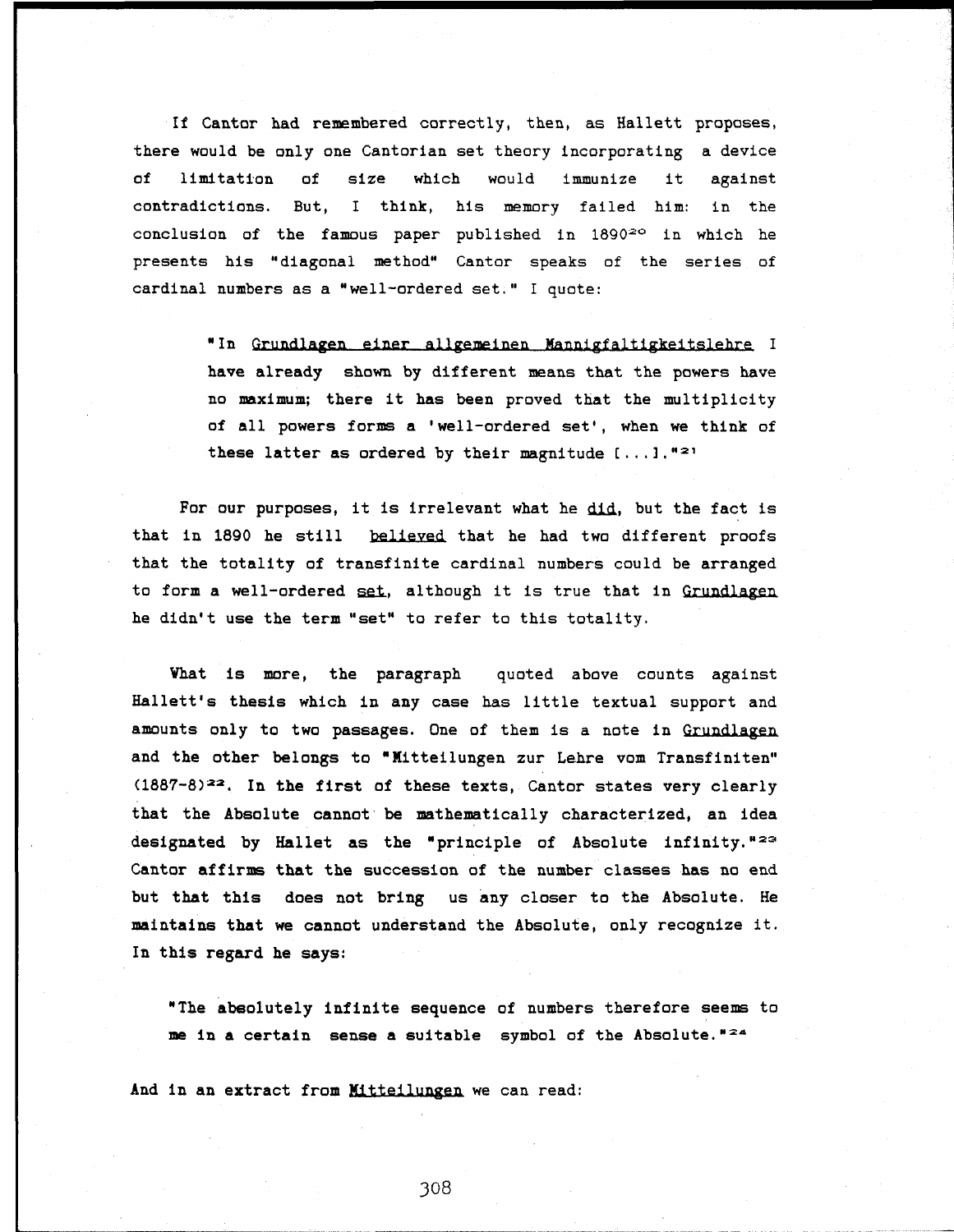If Cantor had remembered correctly, then, as Hallett proposes, there would be only one Cantorian set theory incorporating a device of limitation of size which would immunize it against contradictions. But, I think, his memory failed him: in the conclusion of the famous paper published in  $1890<sup>20</sup>$  in which he presents his "diagonal method" Cantor speaks of the series of cardinal numbers as a "well-ordered set." I quote:

> " In Grundlagen einer allgemeinen Mannigfaltigkeitslehre I have already shown by different means that the powers have no maximum; there it has been proved that the multiplicity of all powers forms a 'well-ordered set', when we think of these latter as ordered by their magnitude  $[...]$ . "<sup>21</sup>

For our purposes, it is irrelevant what he did., but the fact is that in 1890 he still believed that he had two different proofs that the totality of transfinite cardinal numbers could be arranged to form a well-ordered set, although it is true that in Grundlagen he didn't use the term "set" to refer to this totality.

Vhat is more, the paragraph quoted above counts against Hallett's thesis which in any case has little textual support and amounts only to two passages. One of them is a note in Grundlagen and the other belongs to "Mitteilungen zur Lehre vom Transfiniten"  $(1887-8)^{22}$ . In the first of these texts, Cantor states very clearly that the Absolute cannot be mathematically characterized, an idea designated by Hallet as the "principle of Absolute infinity."<sup>23</sup> Cantor affirms that the succession of the number classes has no end but that this does not bring us any closer to the Absolute. He maintains that we cannot understand the Absolute, only recognize it. In this regard he says:

"The absolutely infinite sequence of numbers therefore seems to me in a certain sense a suitable symbol of the Absolute. "24

And in an extract from Mitteilungen we can read: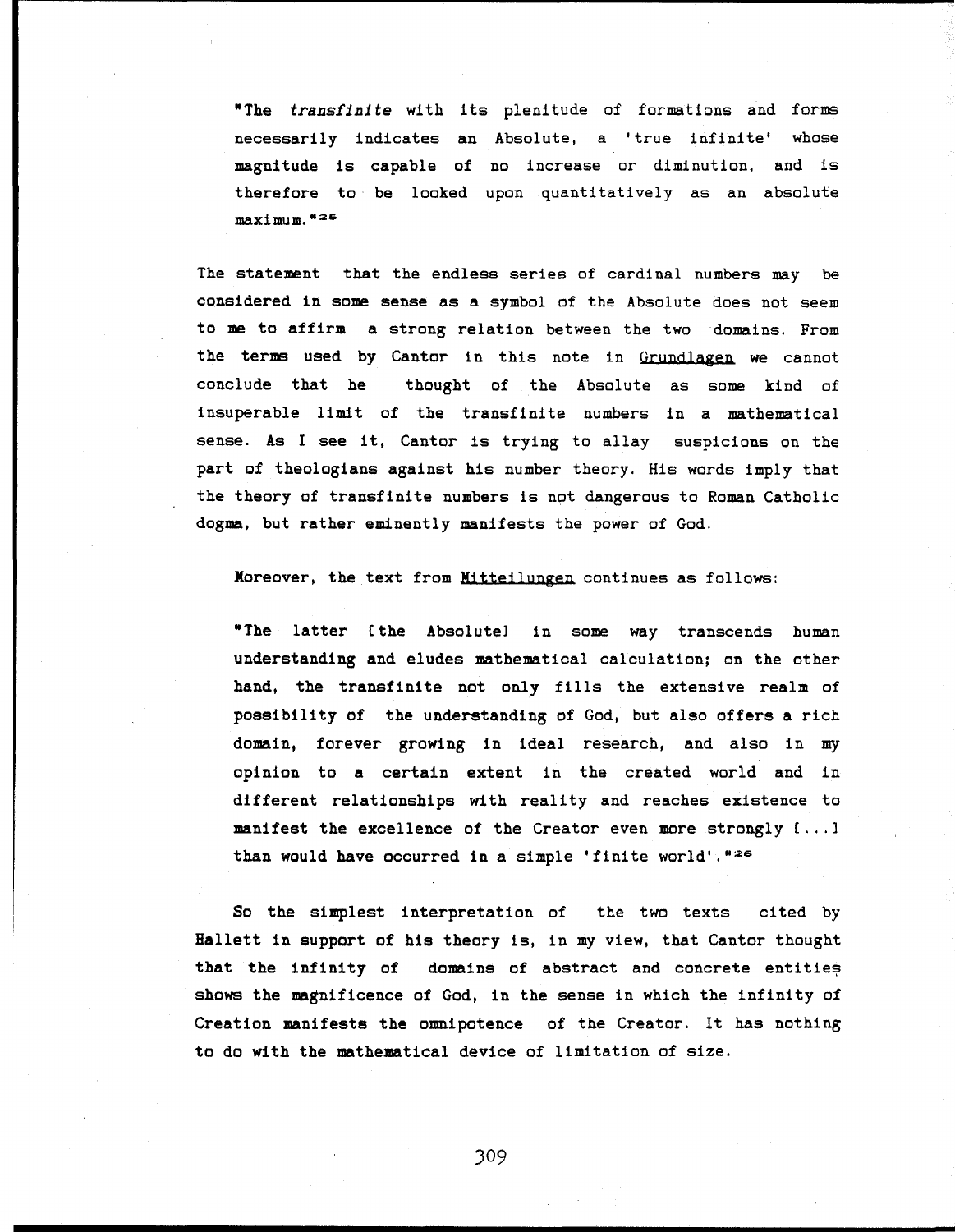"The *transfinite* with its plenitude of formations and forms necessarily indicates an Absolute, a 'true infinite' whose magnitude is capable of no increase or diminution, and is therefore to be looked upon quantitatively as an absolute maximum. " <sup>2</sup> <sup>S</sup>

The statement that the endless series of cardinal numbers may be considered in some sense as a symbol of the Absolute does not seem to me to affirm a strong relation between the two domains. From the terms used by Cantor in this note in Grundlagen we cannot conclude that he thought of the Absolute as some kind of insuperable limit of the transfinite numbers in a mathematical sense. As I see it, Cantor is trying to allay suspicions on the part of theologians against his number theory. His words imply that the theory of transfinite numbers is not dangerous to Roman Catholic dogma, but rather eminently manifests the power of God.

Moreover, the text from Mitteilungen continues as follows:

"The latter (the Absolute) in some way transcends human understanding and eludes mathematical calculation; on the other hand, the transfinite not only fills the extensive realm of possibility of the understanding of God, but also offers a rich domain, forever growing in ideal research, and also in my opinion to a certain extent in the created world and in different relationships with reality and reaches existence to manifest the excellence of the Creator even more strongly [...] than would have occurred in a simple 'finite world'.<sup>"26</sup>

So the simplest interpretation of the two texts cited by Hallett in support of his theory is, in my view, that Cantor thought that the infinity of domains of abstract and concrete entities shows the magnificence of God, in the sense in which the infinity of Creation manifests the omnipotence of the Creator. It has nothing to do with the mathematical device of limitation of size.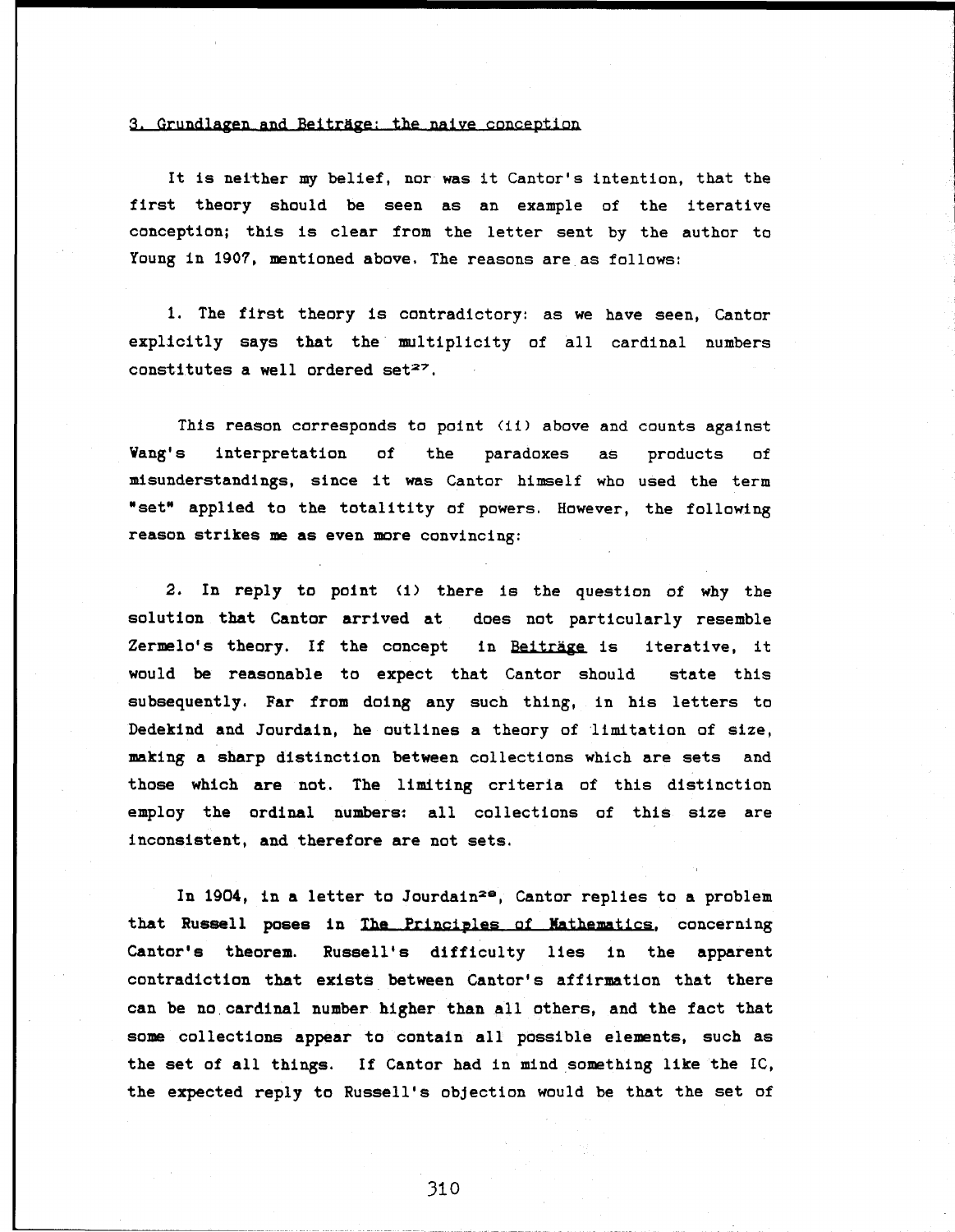#### 3. Grundlagen and Beitrage: the naive conception

It is neither my belief, nor was it Cantor's Intention, that the first theory should be seen as an example of the iterative conception; this is clear from the letter sent by the author to Young in 1907, mentioned above, The reasons are as follows:

1. The first theory Is contradictory: as we have seen, Cantor explicitly says that the multiplicity of all cardinal numbers constitutes a well ordered set $27$ .

This reason corresponds to point (ii) above and counts against Vang's interpretation of the paradoxes as products of misunderstandings, since it was Cantor himself who used the term "set" applied to the totalitity of powers. However, the following reason strikes me as even more convincing:

2. In reply to point (1) there is the question of why the solution that Cantor arrived at does not particularly resemble Zermelo's theory. If the concept in Beiträge is iterative, it would be reasonable to expect that Cantor should state this subsequently. Far from doing any such thing, in his letters to Dedekind and Jourdain, he outlines a theory of limitation of size, making a sharp distinction between collections which are sets and those which are not. The limiting criteria of this distinction employ the ordinal numbers: all collections of this size are inconsistent, and therefore are not sets.

In 1904, in a letter to Jourdain<sup>28</sup>, Cantor replies to a problem that Russell poses in The Principles of Mathematics, concerning Cantor's theorem. Russell's difficulty lies in the apparent contradiction that exists between Cantor's affirmation that there can be no cardinal number higher than all others, and the fact that some collections appear to contain all possible elements, such as the set of all things. If Cantor had in mind something like the 1С, the expected reply to Russell's objection would be that the set of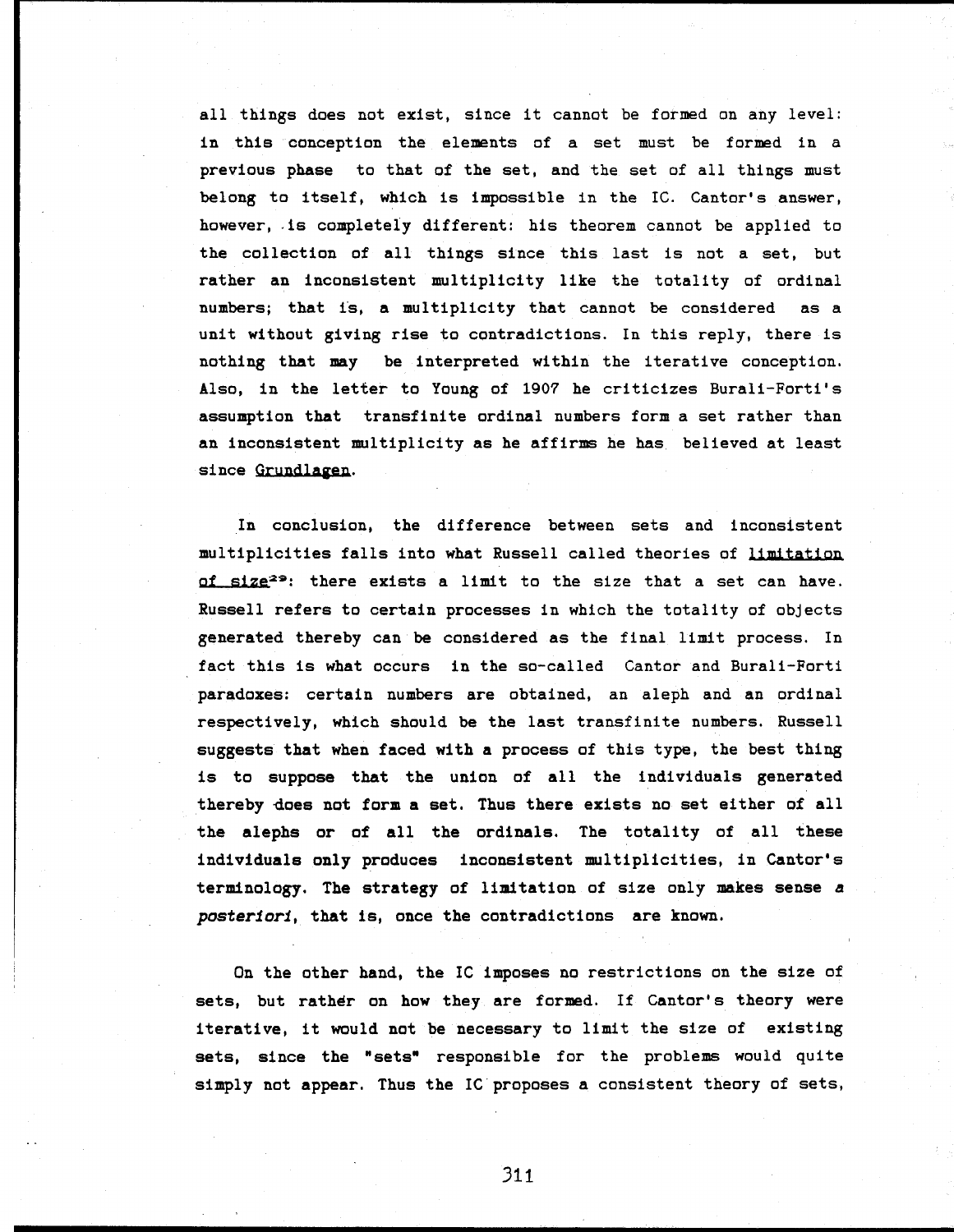all things does not exist, since it cannot be formed on any level: in this conception the elements of a set must be formed in a previous phase to that of the set, and the set of all things must belong to itself, which is impossible in the 1С. Cantor's answer, however, is completely different: his theorem cannot be applied to the collection of all things since this last is not a set, but rather an inconsistent multiplicity like the totality of ordinal numbers; that is, a multiplicity that cannot be considered as a unit without giving rise to contradictions. In this reply, there is nothing that may be interpreted within the iterative conception. Also, in the letter to Young of 1907 he criticizes Burali-Forti's assumption that transfinite ordinal numbers form a set rather than an inconsistent multiplicity as he affirms he has believed at least since Grundlagen.

In conclusion, the difference between sets and inconsistent multiplicities falls into what Russell called theories of limitation of size<sup>29</sup>: there exists a limit to the size that a set can have. Russell refers to certain processes in which the totality of objects generated thereby can be considered as the final limit process. In fact this is what occurs in the so-called Cantor and Burali-Forti paradoxes: certain numbers are obtained, an aleph and an ordinal respectively, which should be the last transfinite numbers. Russell **suggests that when faced with a** process of this type, the best thing is to **suppose that** the union of **all** the individuals generated **thereby does not form a set. Thus there** exists no set either of all **the alephs or of all the ordinals.** The totality of all these **individuals only produces** inconsistent multiplicities, in Cantor's **terminology. The strategy** of **limitation** of size only **makes sense** *a posteriori,* **that** is, once **the** contradictions **are known.**

On the other hand, the IC imposes no restrictions on the size of sets, but rather on how they are formed. If Cantor's theory were iterative, it would not be necessary to limit the size of existing sets, since the "sets" responsible for the problems would quite simply not appear. Thus the IC proposes a consistent theory of sets,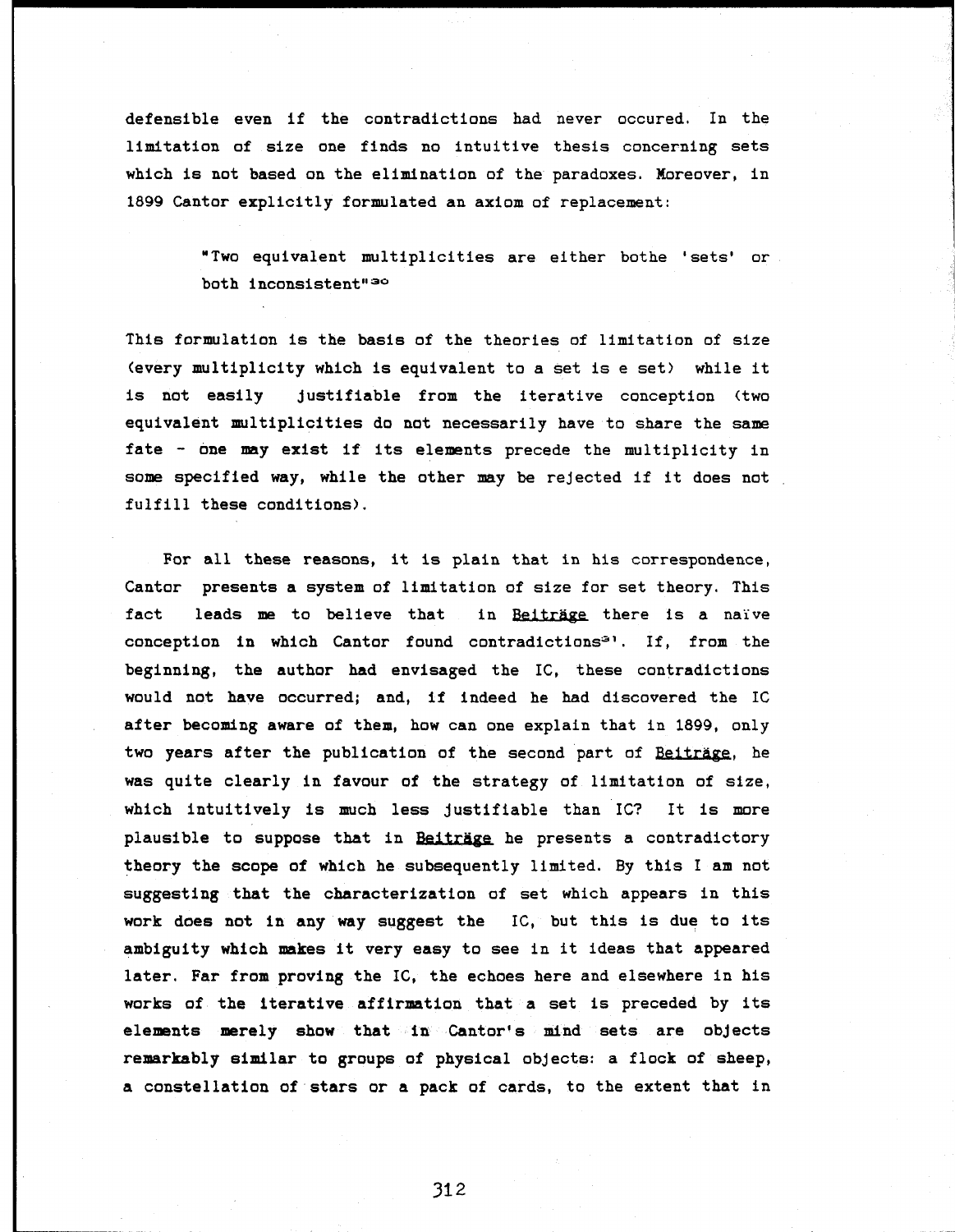defensible even if the contradictions had never occured. In the limitation of size one finds no intuitive thesis concerning sets which is not based on the elimination of the paradoxes. Moreover, in 1899 Cantor explicitly formulated an axiom of replacement:

> "Two equivalent multiplicities are either bothe 'sets' or both inconsistent"<sup>30</sup>

This formulation is the basis of the theories of limitation of size (every multiplicity which is equivalent to a set is e set) while it is not easily justifiable from the iterative conception (two equivalent multiplicities do not necessarily have to share the same fate - one may exist if its elements precede the multiplicity in some specified way, while the other may be rejected if it does not fulfill these conditions).

For all these reasons, it is plain that in his correspondence, Cantor presents a system of limitation of size for set theory. This fact leads me to believe that in Beiträge there is a naive conception in which Cantor found contradictions<sup>31</sup>. If, from the beginning, the author had envisaged the 1С, these contradictions would not have occurred; and, if indeed he had discovered the 1 after becoming aware of them, how can one explain that in 1899, only two years after the publication of the second part of Beiträge, he was quite clearly in favour of the strategy of limitation of size, which intuitively is much less justifiable than IC? It is more plausible to suppose that in Beiträge he presents a contradictory theory the scope of which he subsequently limited. By this I am not suggesting that the characterization of set which appears in this work does not in any way suggest the 1С, but this is due to its ambiguity which makes it very easy to see in it ideas that appeared later. Far from proving the 1С, the echoes here and elsewhere in his works of the iterative affirmation that a set is preceded by its elements merely show that in Cantor's mind sets are objects remarkably similar to groups of physical objects: a flock of sheep, a constellation of stars or a pack of cards, to the extent that in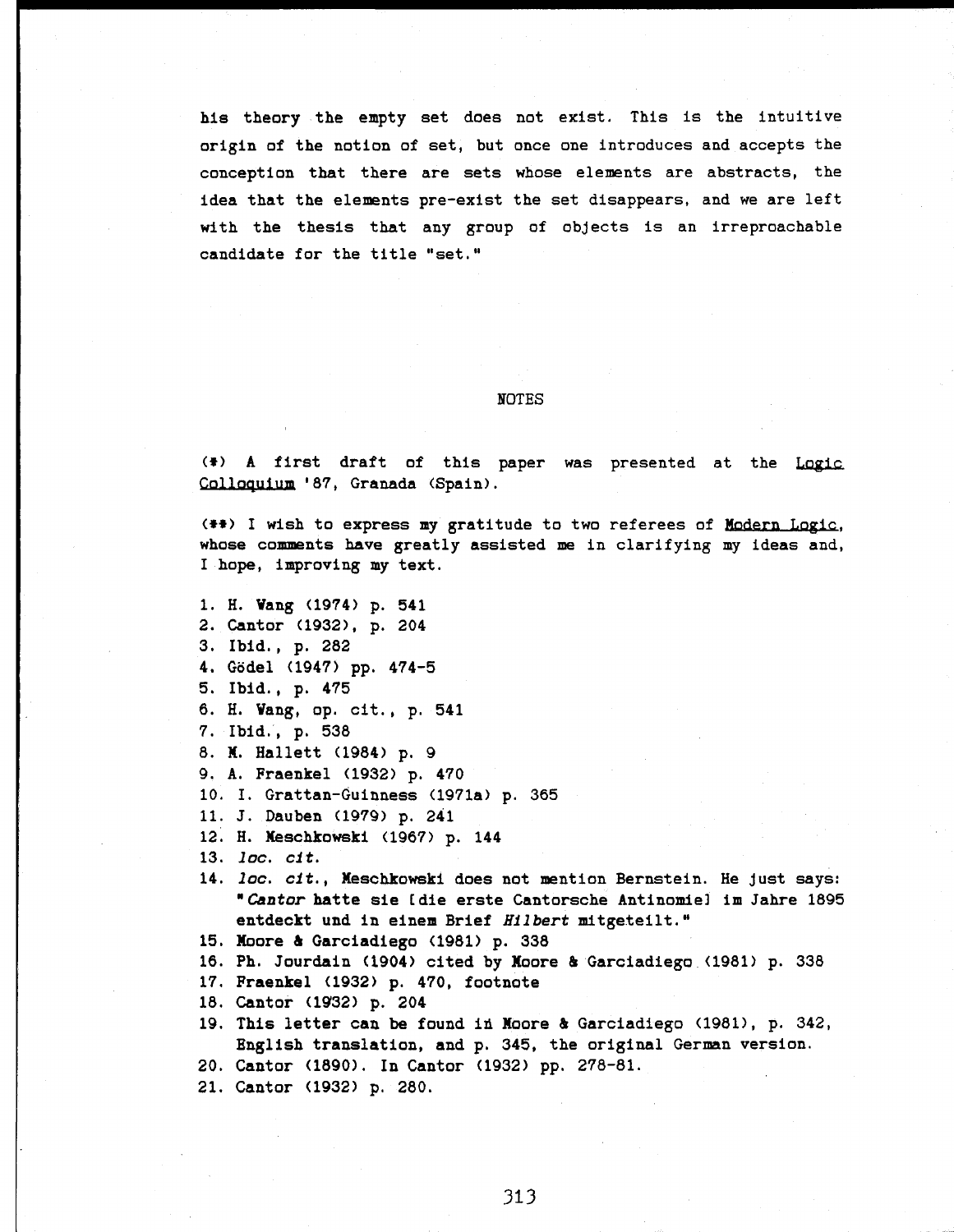his theory the empty set does not exist. This is the intuitive origin of the notion of set, but once one introduces and accepts the conception that there are sets whose elements are abstracts, the idea that the elements pre-exist the set disappears, and we are left with the thesis that any group of objects is an irreproachable candidate for the title "set."

#### NOTES

(\*) A first draft of this paper was presented at the Logic Colloquium '87, Granada (Spain).

(#\*) I wish to express my gratitude to two referees of Modern Logic, whose comments have greatly assisted me in clarifying my ideas and, I hope, improving my text.

1. H. Vang (1974) p. 541 2. Cantor (1932), p. 204 3. Ibid., p. 282 4. Godei (1947) pp. 474-5 5. Ibid., p. 475 6. H. Vang, op. cit., p. 541 7. Ibid., p. 538 8. M. Hallett (1984) p. 9 9. A. Fraenkel (1932) p. 470 10. I. Grattan-Guinness (1971a) p. 365 11. J. Dauben (1979) p. 241 12. H. Meschkowski (1967) p. 144 13. *loc. cit.*

- 14. *loc. cit.,* Meschkowski does not mention Bernstein. He Just says: *'Cantor* hatte sie [die erste Cantorsche Antinomie] im Jahre 1895 entdeckt und in einem Brief *Hubert* mitgeteilt."
- 15. Moore & Garciadiego (1981) p. 338
- 16. Ph. Jourdain (1904) cited by Moore & Garciadiego (1981) p. 338
- 17. Fraenkel (1932) p. 470, footnote
- 18. Cantor (1932) p. 204
- 19. This letter can be found in Moore 4 Garciadiego (1981), p. 342, English translation, and p. 345, the original German version.
- 20. Cantor (1890). In Cantor (1932) pp. 278-81.
- 21. Cantor (1932) p. 280.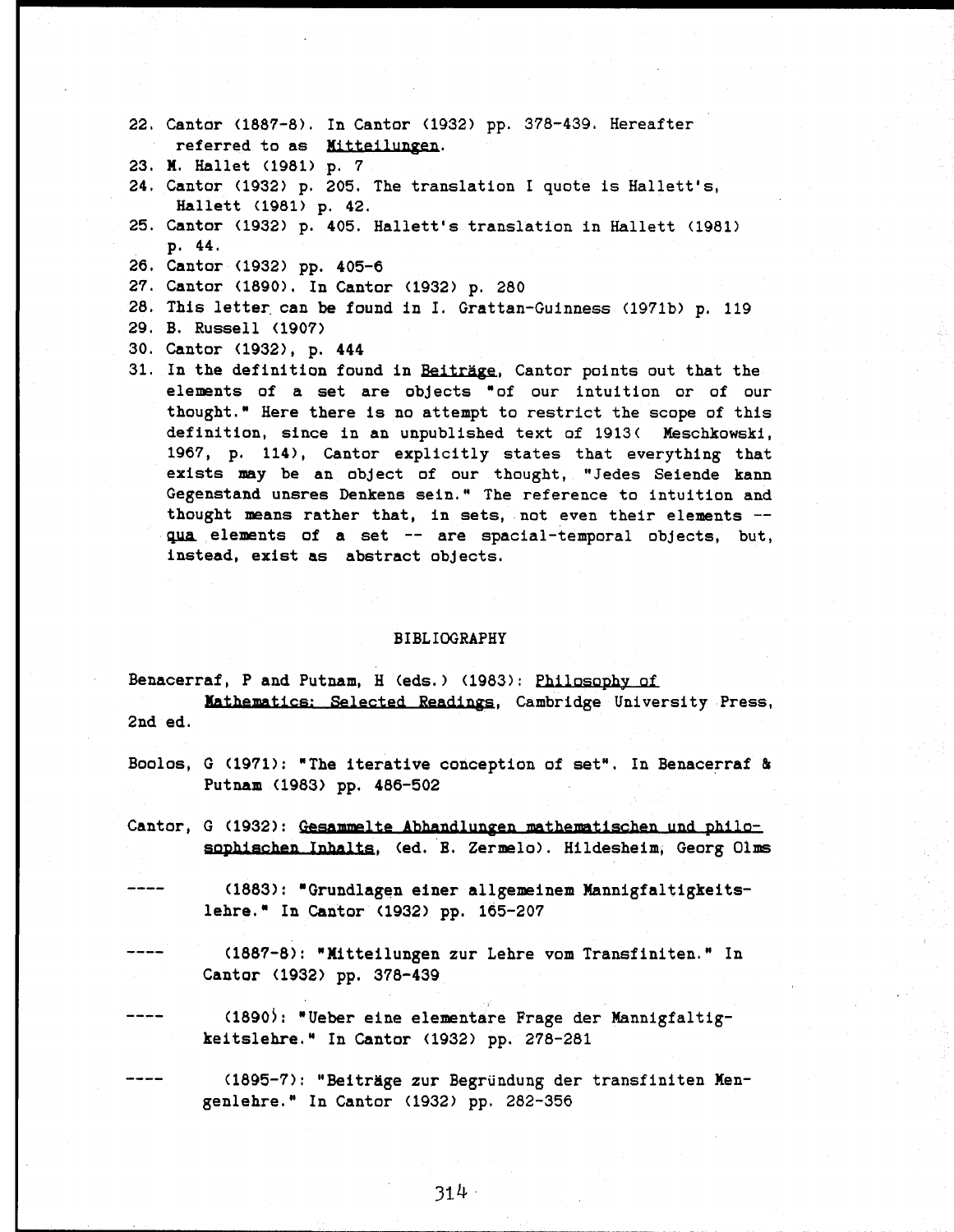- 22. Cantar (1887-8). In Cantor (1932) pp. 378-439. Hereafter referred to as Mitteilungen.
- 23. X. Hallet (1981) p. 7
- 24. Cantor (1932) p. 205. The translation I quote is Hallett's, Hallett (1981) p. 42.
- 25. Cantor (1932) p. 405. Hallett's translation in Hallett (1981) p. 44.
- 26. Cantor (1932) pp. 405-6
- 27. Cantor (1890). In Cantor (1932) p. 280
- 28. This letter, can be found in I. Grattan-Guinness (1971b) p. 119
- 29. B. Russell (1907)
- 30. Cantor (1932), p. 444
- 31. In the definition found in Beiträge, Cantor points out that the elements of a set are objects "of our intuition or of our thought." Here there is no attempt to restrict the scope of this definition, since in an unpublished text of 1913( Meschkowski, 1967, p. 114), Cantor explicitly states that everything that exists may be an object of our thought, "Jedes Seiende kann Gegenstand unsres Denkens sein." The reference to intuition and thought means rather that, in sets, not even their elements qua elements of a set -- are spacial-temporal objects, but, instead, exist as abstract objects.

#### BIBLIOGRAPHY

Benacerraf, P and Putnam, H (eds.) (1983): Philosophy of Mathematics: Selected Readings, Cambridge University Press, 2nd ed.

- Boolos, G (1971): "The iterative conception of set". In Benacerraf & Putnam (1983) pp. 486-502
- Cantor, G (1932): Gesammelte Abhandlungen mathematischen und philosophischen Inhalts, (ed. E. Zermelo). Hildesheim, Georg Olms

----

-----

(1883): "Grundlagen einer allgemeinem Mannigfaltigkeits lehre." In Cantor (1932) pp. 165-207

(1887-8): "Mitteilungen zur Lehre vom Transfiniten. " In Cantor (1932) pp. 378-439

(1890): "Ueber eine elementare Frage der Mannigfaltigkeitslehre." In Cantor (1932) pp. 278-281

(1895-7): "Beiträge zur Begründung der transfiniten Mengenlehre." In Cantor (1932) pp. 282-356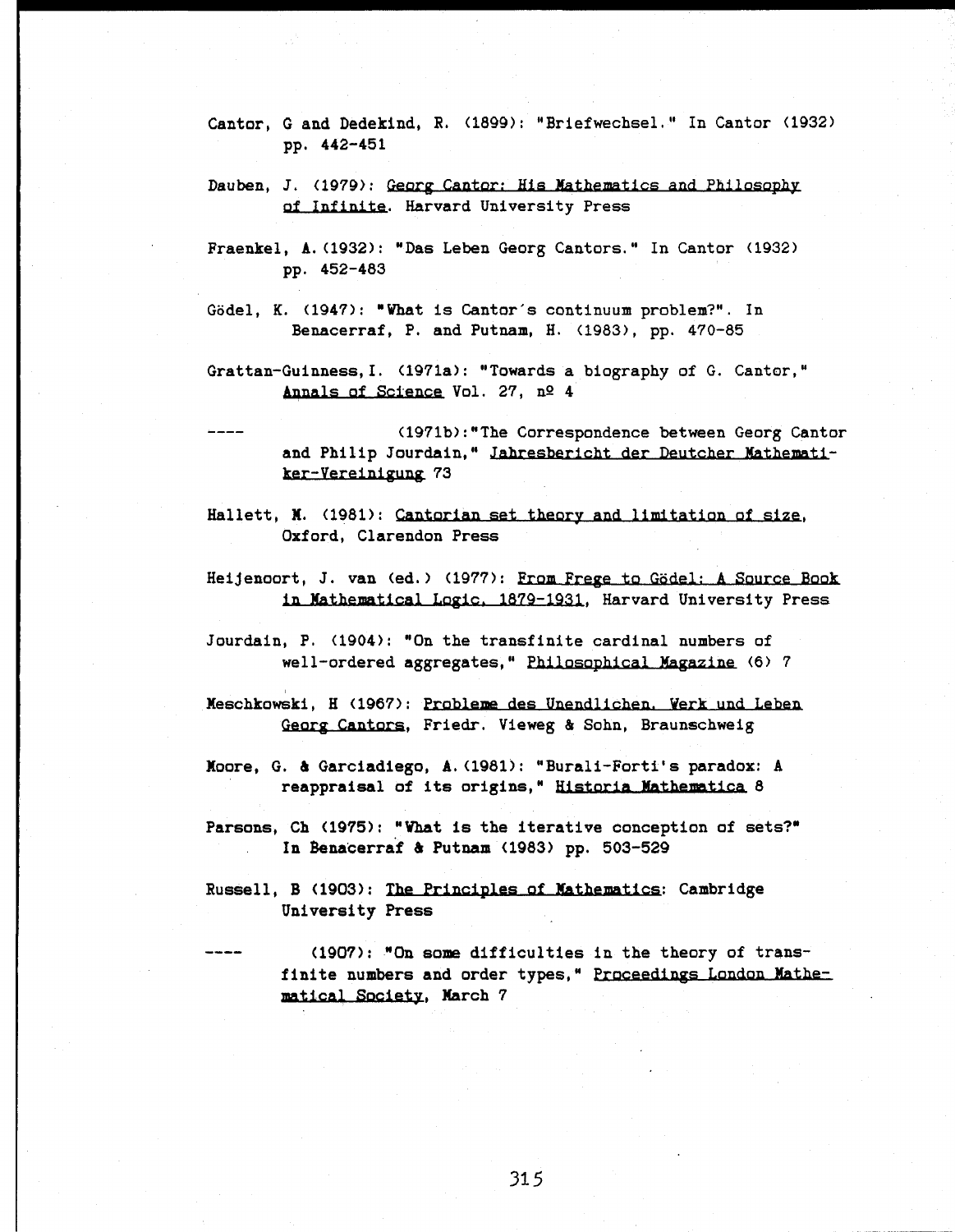- Cantor, G and Dedekind, R. (1899): "Briefwechsel." In Cantor (1932) pp. 442-451
- Dauben, J. (1979): Georg Cantor: His Mathematics and Philosophy of Infinite. Harvard university Press
- Fraenkel, A.(1932): "Das Leben Georg Cantors." In Cantor (1932) pp. 452-483
- Gödel, K. (1947): "What is Cantor's continuum problem?". In Benacerraf, P. and Putnam, H. (1983), pp. 470-85
- Grattan-Guinness,I. (1971a): "Towards a biography of G. Cantor," Annals of Science Vol. 27,  $n^{\circ}$  4
- $\frac{1}{2}$ (1971b):"The Correspondence between Georg Cantor and Philip Jourdain," Jahresbericht der Deutcher Mathematiker-Vereinigung 73
- Hallett, N. (1981): Cantorian set theory and limitation of size, Oxford, Clarendon Press
- Heijenoort, J. van (ed.) (1977): From Frege to Gödel: A Source Book in Mathematical Logic, 1879-1931, Harvard University Press
- Jourdain, P. (1904): "On the transfinite cardinal numbers of well-ordered aggregates," Philosophical Magazine (6) 7
- Meschkowski, H (1967): Probleme des Unendlichen. Verk und Leben Georg Cantors, Friedr. Vieweg & Sohn, Braunschweig
- Moore, G. à Garciadiego, A.(1981): "Burali-Forti's paradox: A reappraisal of its origins, " Historia Mathematica 8
- Parsons, Ch (1975): "What is the iterative conception of sets?" In Benacerraf & Putnam (1983) pp. 503-529
- Russell, B (1903): The Principles of Mathematics: Cambridge University Press

للمرتبط للمرتبة

(1907): "On some difficulties in the theory of trans finite numbers and order types, " Proceedings London Mathematical Society, March 7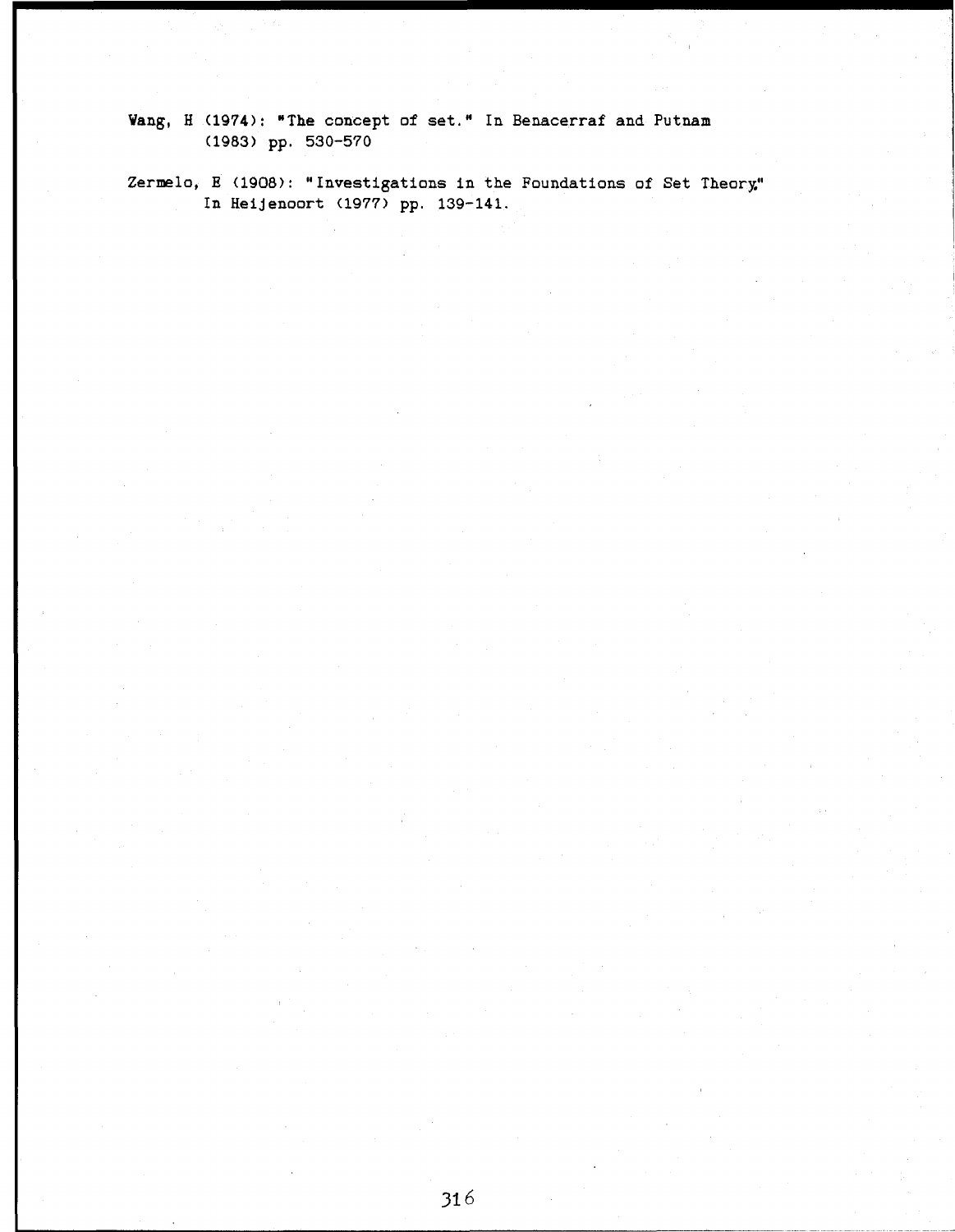**Vang, H (1974):** "The concept of set." In Benacerraf and Putnam (1983) pp. 530-570

Zermelo, E (1908): "Investigations in the Foundations of Set Theory." In Heijenoort (1977) pp. 139-141.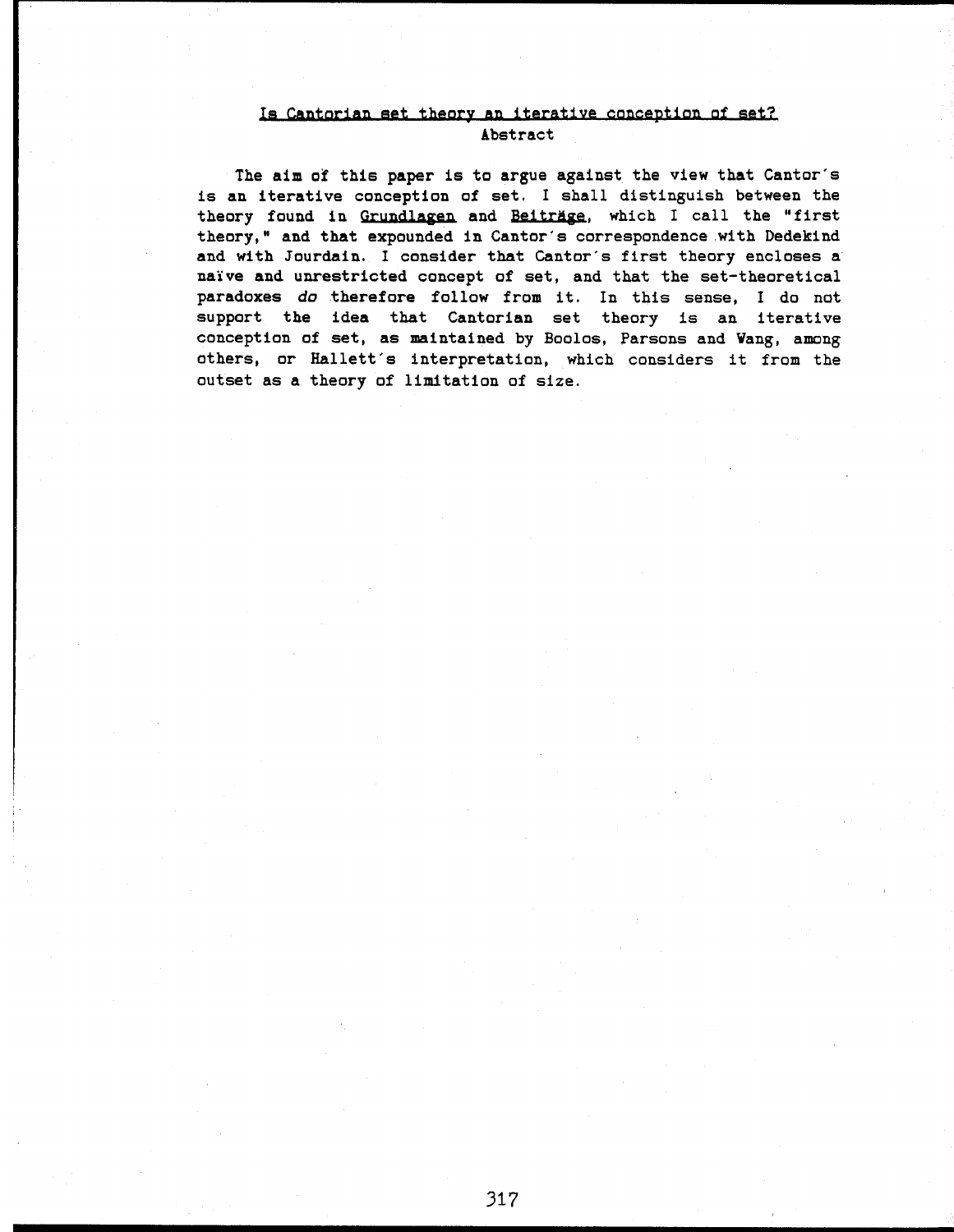# Is Cantorian set theory an iterative conception of set? Abstract

The aim of this paper is to argue against the view that Cantor's is an iterative conception of set. I shall distinguish between the theory found in Grundlagen and Beiträge, which I call the "first theory," and that expounded in Cantor's correspondence with Dedekind and with Jourdain. I consider that Cantor's first theory encloses a naive and unrestricted concept of set, and that the set-theoretical paradoxes do therefore follow from it. In this sense, I do not support the idea that Cantorian set theory is an iterative conception of set, as maintained by Boolos, Parsons and Vang, among others, or Hallett's interpretation, which considers it from the outset as a theory of limitation of size.